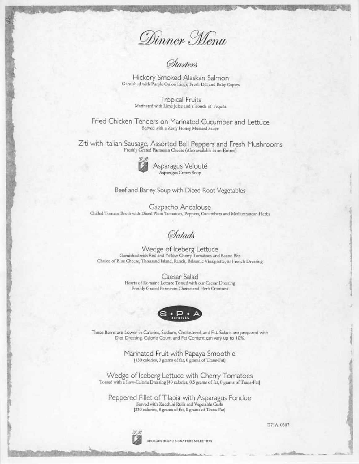

Hickory Smoked Alaskan Salmon Garnished with Purple Onion Rings, Fresh Dill and Baby Capers

> **Tropical Fruits** Marinated with Lime Juice and a Touch of Tequila

Fried Chicken Tenders on Marinated Cucumber and Lettuce Served with a Zesty Honey Mustard Sauce

Ziti with Italian Sausage, Assorted Bell Peppers and Fresh Mushrooms Freshly Grated Parmesan Cheese (Also available as an Entree)



Asparagus Velouté Asparagus Cream Soup

Beef and Barley Soup with Diced Root Vegetables

Gazpacho Andalouse Chilled Tomato Broth with Diced Plum Tomatoes, Peppers, Cucumbers and Mediterranean Herbs

**Salads** 

Wedge of Iceberg Lettuce Garnished with Red and Yellow Cherry Tomatoes and Bacon Bits Choice of Blue Cheese, Thousand Island, Ranch, Balsamic Vinaigrette, or French Dressing

> Caesar Salad Hearts of Romaine Lettuce Tossed with our Caesar Dressing Freshly Grated Parmesan Cheese and Herb Croutons



These Items are Lower in Calories, Sodium, Cholesterol, and Fat. Salads are prepared with Diet Dressing. Calorie Count and Fat Content can vary up to 10%.

> Marinated Fruit with Papaya Smoothie [130 calories, 3 grams of fat, 0 grams of Trans-Fat]

Wedge of Iceberg Lettuce with Cherry Tomatoes Tossed with a Low-Calorie Dressing [40 calories, 0.5 grams of fat, 0 grams of Trans-Fat]

Peppered Fillet of Tilapia with Asparagus Fondue Served with Zucchini Rolls and Vegetable Curls [330 calories, 8 grams of fat, 0 grams of Trans-Fat]



GEORGES BLANC SIGNATURE SELECTION

D71A.0307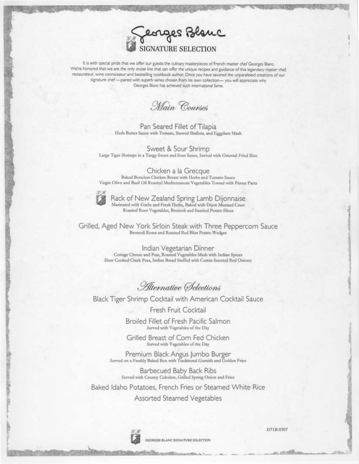

It is with special pride that we offer our guests the culinary masterpieces of French master chef Georges Blanc. We're honored that we are the only cruise line that can offer the unique recipes and guidance of this legendary master chef, restaurateur, wine connoisseur and bestselling cookbook author. Once you have savored the unparalleled creations of our signature chef -- paired with superb wines chosen from his own collection- you will appreciate why Georges Blanc has achieved such international fame.

Main Courses

Pan Seared Fillet of Tilapia Herb Butter Sauce with Tomato, Stewed Shallots, and Eggplant Mash

Sweet & Sour Shrimp Large Tiger Shrimps in a Tangy Sweet and Sour Sauce, Served with Oriental Fried Rice

Chicken a la Grecque Baked Boneless Chicken Breast with Herbs and Tomato Sauce Virgin Olive and Basil Oil Roasted Mediterranean Vegetables Tossed with Penne Pasta



Rack of New Zealand Spring Lamb Dijonnaise<br>Marinated with Garlic and Fresh Herbs, Baked with Dijon Mustard Crust Roasted Root Vegetables, Broccoli and Sautéed Potato Slices

Grilled, Aged New York Sirloin Steak with Three Peppercom Sauce Broccoli Roses and Roasted Red Bliss Potato Wedges

> Indian Vegetarian Dinner Cottage Cheese and Peas, Roasted Vegetables Mash with Indian Spices Slow Cooked Chick Peas, Indian Bread Stuffed with Cumin Scented Red Onions

Alternative Selections

Black Tiger Shrimp Cocktail with American Cocktail Sauce

Fresh Fruit Cocktail

Broiled Fillet of Fresh Pacific Salmon Served with Vegetables of the Day

Grilled Breast of Corn Fed Chicken Served with Vegetables of the Day

Premium Black Angus Jumbo Burger Served on a Freshly Baked Bun with Traditional Garnish and Golden Fries

Barbecued Baby Back Ribs Served with Creamy Coleslaw, Grilled Spring Onion and Fries

Baked Idaho Potatoes, French Fries or Steamed White Rice

Assorted Steamed Vegetables



D71B.0307